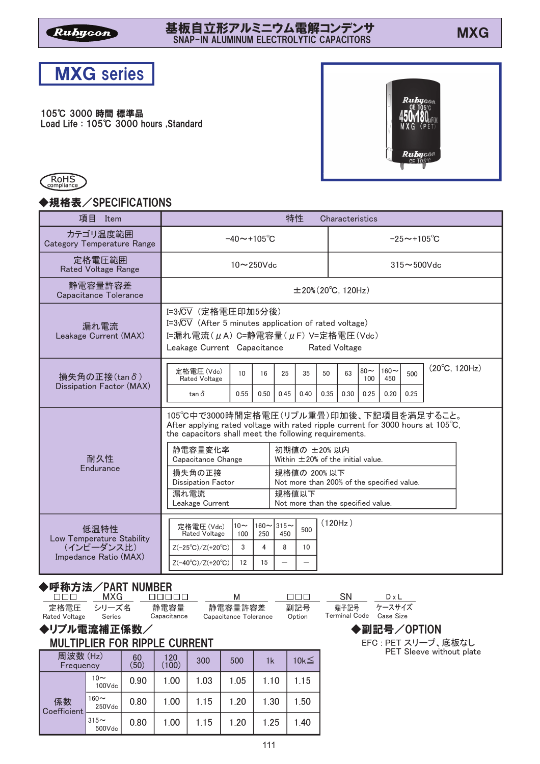# 基板自立形アルミニウム電解コンデンサ<br>- ^^^^ MX 甚板目立形アルミニワム電解コンデンサ<br>SNAP-IN ALUMINUM ELECTROLYTIC CAPACITORS



#### 105℃ 3000 時間 標準品

Load Life : 105°C 3000 hours , Standard





### ◆規格表/SPECIFICATIONS

| 項目<br>Item                                    | 特性<br>Characteristics                                             |                                                                                                                                                                                                 |                                                                                                                                                                                               |                          |            |                                     |                       |                       |             |                        |  |  |  |  |
|-----------------------------------------------|-------------------------------------------------------------------|-------------------------------------------------------------------------------------------------------------------------------------------------------------------------------------------------|-----------------------------------------------------------------------------------------------------------------------------------------------------------------------------------------------|--------------------------|------------|-------------------------------------|-----------------------|-----------------------|-------------|------------------------|--|--|--|--|
| カテゴリ温度範囲<br><b>Category Temperature Range</b> | $-40 \sim +105^{\circ}C$                                          |                                                                                                                                                                                                 |                                                                                                                                                                                               | $-25 \sim +105^{\circ}C$ |            |                                     |                       |                       |             |                        |  |  |  |  |
| 定格電圧範囲<br><b>Rated Voltage Range</b>          |                                                                   | 10~250Vdc                                                                                                                                                                                       |                                                                                                                                                                                               | $315 \sim 500$ Vdc       |            |                                     |                       |                       |             |                        |  |  |  |  |
| 静電容量許容差<br>Capacitance Tolerance              |                                                                   |                                                                                                                                                                                                 |                                                                                                                                                                                               |                          |            | $\pm 20\%$ (20 $^{\circ}$ C, 120Hz) |                       |                       |             |                        |  |  |  |  |
| 漏れ電流<br>Leakage Current (MAX)                 |                                                                   | I=3√CV (定格電圧印加5分後)<br>I= $3\sqrt{CV}$ (After 5 minutes application of rated voltage)<br>I=漏れ電流 $(\mu A)$ C=静電容量 $(\mu F)$ V=定格電圧 $(Vdc)$<br>Leakage Current Capacitance<br><b>Rated Voltage</b> |                                                                                                                                                                                               |                          |            |                                     |                       |                       |             |                        |  |  |  |  |
| 損失角の正接(tanδ)<br>Dissipation Factor (MAX)      | 定格電圧 (Vdc)<br>10<br><b>Rated Voltage</b><br>$\tan \delta$<br>0.55 | 16<br>0.50                                                                                                                                                                                      | 25<br>0.45                                                                                                                                                                                    | 35<br>0.40               | 50<br>0.35 | 63<br>0.30                          | $80 -$<br>100<br>0.25 | $160-$<br>450<br>0.20 | 500<br>0.25 | $(20^{\circ}C, 120Hz)$ |  |  |  |  |
|                                               |                                                                   |                                                                                                                                                                                                 | 105℃中で3000時間定格電圧(リプル重畳)印加後、下記項目を満足すること。<br>After applying rated voltage with rated ripple current for 3000 hours at $105^{\circ}$ C,<br>the capacitors shall meet the following requirements. |                          |            |                                     |                       |                       |             |                        |  |  |  |  |
| 耐久性                                           | 静雷容量変化率<br>Capacitance Change                                     |                                                                                                                                                                                                 | 初期値の ±20%以内<br>Within $\pm$ 20% of the initial value.                                                                                                                                         |                          |            |                                     |                       |                       |             |                        |  |  |  |  |
| Endurance                                     | 損失角の正接<br><b>Dissipation Factor</b>                               |                                                                                                                                                                                                 | 規格値の 200%以下<br>Not more than 200% of the specified value.                                                                                                                                     |                          |            |                                     |                       |                       |             |                        |  |  |  |  |
|                                               | 漏れ雷流<br>Leakage Current                                           |                                                                                                                                                                                                 | 規格値以下<br>Not more than the specified value.                                                                                                                                                   |                          |            |                                     |                       |                       |             |                        |  |  |  |  |
| 低温特性<br>Low Temperature Stability             | $10\sim$<br>定格電圧 (Vdc)<br>Rated Voltage<br>100                    | 250                                                                                                                                                                                             | $160 \sim 315 \sim$<br>450                                                                                                                                                                    | 500                      | (120Hz)    |                                     |                       |                       |             |                        |  |  |  |  |
| (インピーダンス比)<br>Impedance Ratio (MAX)           | $Z(-25^{\circ}C)/Z(+20^{\circ}C)$<br>3                            | 4                                                                                                                                                                                               | 8                                                                                                                                                                                             | 10                       |            |                                     |                       |                       |             |                        |  |  |  |  |
|                                               | $Z(-40^{\circ}C)/Z(+20^{\circ}C)$<br>12                           | 15                                                                                                                                                                                              |                                                                                                                                                                                               |                          |            |                                     |                       |                       |             |                        |  |  |  |  |

# ◆呼称方法/PART NUMBER

| u u u                              | MXG.   |                     | м                                | ooo           | SN            | DxL                      |
|------------------------------------|--------|---------------------|----------------------------------|---------------|---------------|--------------------------|
| 定格電圧 シリーズ名<br><b>Rated Voltage</b> | Series | 静電容量<br>Capacitance | 静電容量許容差<br>Capacitance Tolerance | 副記号<br>Option | Terminal Code | 端子記号 ケースサイズ<br>Case Size |
|                                    |        |                     |                                  |               |               |                          |

# ◆リプル電流補正係数/

# MULTIPLIER FOR RIPPLE CURRENT

| 周波数(Hz)<br>Frequency |                        | 60<br>(50) | 120<br>(100) | 300  | 500  | 1k   | 10 $k \leq$ |
|----------------------|------------------------|------------|--------------|------|------|------|-------------|
|                      | 10 $\sim$<br>100Vdc    | 0.90       | 1.00         | 1.03 | 1.05 | 1.10 | 1.15        |
| 係数<br>Coefficient    | $160\sim$<br>$250V$ dc | 0.80       | 1.00         | 1.15 | 1.20 | 1.30 | 1.50        |
|                      | $315-$<br>500Vdc       | 0.80       | 1.00         | 1.15 | 1.20 | 1.25 | 1.40        |

◆副記号/OPTION EFC : PET スリーブ、底板なし

PET Sleeve without plate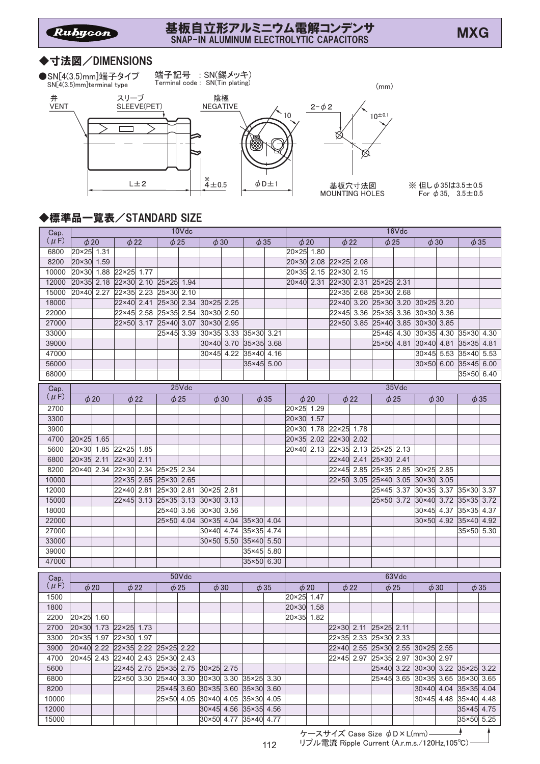# 基板自立形アルミニウム電解コンデンサ<br>- 8100 N.A. UNIVERSITATION STRONGEROOS 基板目立形アルミニワム電解コンデンサ<br>SNAP-IN ALUMINUM ELECTROLYTIC CAPACITORS

#### ◆寸法図/DIMENSIONS

端子記号 : SN(錫メッキ) ●SN[4(3.5)mm]端子タイプ Terminal code : SN(Tin plating) SN[4(3.5)mm]terminal type (mm) 弁 陰極 スリーブ VENT SLEEVE(PET)  $2 - \phi 2$ NEGATIVE  $\searrow$  10  $10^{\pm 0.1}$ Г త ⋉ L $\pm 2$   $\begin{array}{|c|c|c|c|}\n\hline\n & 4 & 0.5 & \phi \, \texttt{D} \pm 1\n\end{array}$ 基板穴寸法図 MOUNTING HOLES

※ 但し  $\phi$  35は3.5±0.5 For  $\phi$  35, 3.5 ± 0.5

# ◆標準品一覧表/STANDARD SIZE

| Cap.      | 10Vdc                            |           |                       |           |            |           |                                             |      |              |           |                | 16Vdc     |                                  |           |                                  |           |                     |           |                                  |           |  |
|-----------|----------------------------------|-----------|-----------------------|-----------|------------|-----------|---------------------------------------------|------|--------------|-----------|----------------|-----------|----------------------------------|-----------|----------------------------------|-----------|---------------------|-----------|----------------------------------|-----------|--|
| $(\mu F)$ | $\phi$ 20                        |           | $\phi$ 22             |           | $\phi$ 25  |           | $\phi$ 30<br>$\phi$ 35                      |      |              | $\phi$ 20 |                | $\phi$ 22 |                                  | $\phi$ 25 |                                  | $\phi$ 30 |                     | $\phi$ 35 |                                  |           |  |
| 6800      | 20×25 1.31                       |           |                       |           |            |           |                                             |      |              |           | 20×25 1.80     |           |                                  |           |                                  |           |                     |           |                                  |           |  |
| 8200      | 20×30 1.59                       |           |                       |           |            |           |                                             |      |              |           |                |           | 20×30 2.08 22×25 2.08            |           |                                  |           |                     |           |                                  |           |  |
| 10000     | 20×30 1.88                       |           | 22×25 1.77            |           |            |           |                                             |      |              |           |                |           | 20×35 2.15 22×30                 | 2.15      |                                  |           |                     |           |                                  |           |  |
| 12000     | 20×35 2.18                       |           | 22×30 2.10 25×25 1.94 |           |            |           |                                             |      |              |           | 20×40 2.31     |           | 22×30                            | 2.31      | $25 \times 25$                   | 2.31      |                     |           |                                  |           |  |
| 15000     | 20×40 2.27                       |           | 22×35 2.23            |           | 25×30 2.10 |           |                                             |      |              |           |                |           | 22×35 2.68                       |           | 25×30 2.68                       |           |                     |           |                                  |           |  |
| 18000     |                                  |           | 22×40 2.41            |           | 25×30 2.34 |           | 30×25 2.25                                  |      |              |           |                |           | 22×40                            | 3.20      | 25×30 3.20                       |           | 30×25 3.20          |           |                                  |           |  |
| 22000     |                                  |           | 22×45                 | 2.58      | 25×35 2.54 |           | 30×30 2.50                                  |      |              |           |                |           | $22\times 45$                    | 3.36      | 25×35 3.36                       |           | 30×30               | 3.36      |                                  |           |  |
| 27000     |                                  |           | $22\times50$          | 3.17      | 25×40 3.07 |           | 30×30 2.95                                  |      |              |           |                |           | $22\times50$                     | 3.85      | 25×40 3.85                       |           | 30×30 3.85          |           |                                  |           |  |
| 33000     |                                  |           |                       |           | 25×45 3.39 |           | 30×35 3.33                                  |      | 35×30        | 3.21      |                |           |                                  |           | 25×45 4.30                       |           | 30×35 4.30          |           | 35×30 4.30                       |           |  |
| 39000     |                                  |           |                       |           |            |           | $30\times40$                                | 3.70 | $35\times35$ | 3.68      |                |           |                                  |           | 25×50 4.81                       |           | 30×40 4.81          |           | 35×35                            | 4.81      |  |
| 47000     |                                  |           |                       |           |            |           | $30\times45$                                | 4.22 | 35×40        | 4.16      |                |           |                                  |           |                                  |           | $30 \times 45$ 5.53 |           | 35×40                            | 5.53      |  |
| 56000     |                                  |           |                       |           |            |           |                                             |      | 35×45 5.00   |           |                |           |                                  |           |                                  |           | 30×50 6.00          |           | 35×45 6.00                       |           |  |
| 68000     |                                  |           |                       |           |            |           |                                             |      |              |           |                |           |                                  |           |                                  |           |                     |           | 35×50 6.40                       |           |  |
| Cap.      | 25Vdc                            |           |                       |           |            |           |                                             |      |              |           |                |           |                                  |           |                                  | 35Vdc     |                     |           |                                  |           |  |
| $(\mu F)$ |                                  | $\phi$ 20 |                       | $\phi$ 22 |            | $\phi$ 25 | $\phi$ 30                                   |      |              | $\phi$ 35 |                | $\phi$ 20 |                                  | $\phi$ 22 | $\phi$ 25                        |           |                     | $\phi$ 30 |                                  | $\phi$ 35 |  |
| 2700      |                                  |           |                       |           |            |           |                                             |      |              |           | 20×25 1.29     |           |                                  |           |                                  |           |                     |           |                                  |           |  |
| 3300      |                                  |           |                       |           |            |           |                                             |      |              |           | 20×30          | 1.57      |                                  |           |                                  |           |                     |           |                                  |           |  |
| 3900      |                                  |           |                       |           |            |           |                                             |      |              |           | $20 \times 30$ | 1.78      | 22×25 1.78                       |           |                                  |           |                     |           |                                  |           |  |
| 4700      | 20×25 1.65                       |           |                       |           |            |           |                                             |      |              |           | $20 \times 35$ | 2.02      | 22×30 2.02                       |           |                                  |           |                     |           |                                  |           |  |
| 5600      | 20×30 1.85                       |           | 22×25 1.85            |           |            |           |                                             |      |              |           | 20×40          | 2.13      | $22 \times 35$ 2.13              |           | 25×25                            | 2.13      |                     |           |                                  |           |  |
| 6800      | 20×35 2.11                       |           | $22\times30$          | 2.11      |            |           |                                             |      |              |           |                |           | 22×40 2.41                       |           | $25 \times 30$                   | 2.41      |                     |           |                                  |           |  |
| 8200      | 20×40 2.34                       |           | 22×30 2.34            |           | 25×25 2.34 |           |                                             |      |              |           |                |           | 22×45 2.85                       |           | $25\times35$                     |           | 2.85 30×25 2.85     |           |                                  |           |  |
| 10000     |                                  |           | $22\times35$          | 2.65      | 25×30 2.65 |           |                                             |      |              |           |                |           | 22×50 3.05                       |           | 25×40 3.05 30×30                 |           |                     | 3.05      |                                  |           |  |
| 12000     |                                  |           | 22×40                 | 2.81      | 25×30 2.81 |           | 30×25 2.81                                  |      |              |           |                |           |                                  |           | 25×45                            |           |                     |           | 3.37 30×35 3.37 35×30 3.37       |           |  |
| 15000     |                                  |           | $22\times 45$         | 3.13      | 25×35 3.13 |           | $30 \times 30$                              | 3.13 |              |           |                |           |                                  |           | $25 \times 50$                   | 3.72      | 30×40 3.72          |           | $35 \times 35$ 3.72              |           |  |
| 18000     |                                  |           |                       |           | 25×40 3.56 |           | 30×30 3.56                                  |      |              |           |                |           |                                  |           |                                  |           | 30×45 4.37          |           | 35×35 4.37                       |           |  |
| 22000     |                                  |           |                       |           | 25×50 4.04 |           | 30×35 4.04 35×30 4.04                       |      |              |           |                |           |                                  |           |                                  |           | 30×50 4.92          |           | 35×40 4.92                       |           |  |
| 27000     |                                  |           |                       |           |            |           | $30\times40$                                | 4.74 | 35×35        | 4.74      |                |           |                                  |           |                                  |           |                     |           | 35×50 5.30                       |           |  |
| 33000     |                                  |           |                       |           |            |           | 30×50                                       | 5.50 | 35×40 5.50   |           |                |           |                                  |           |                                  |           |                     |           |                                  |           |  |
| 39000     |                                  |           |                       |           |            |           |                                             |      | 35×45 5.80   |           |                |           |                                  |           |                                  |           |                     |           |                                  |           |  |
| 47000     |                                  |           |                       |           |            |           |                                             |      | 35×50 6.30   |           |                |           |                                  |           |                                  |           |                     |           |                                  |           |  |
|           |                                  |           |                       |           |            |           |                                             |      |              |           |                |           |                                  |           |                                  |           |                     |           |                                  |           |  |
| Cap.      |                                  |           |                       |           |            | 50Vdc     |                                             |      |              |           | 63Vdc          |           |                                  |           |                                  |           |                     |           |                                  |           |  |
| $(\mu F)$ | $\phi$ 20                        |           |                       | $\phi$ 22 | $\phi$ 25  |           | $\phi$ 30                                   |      | $\phi$ 35    |           | $\phi$ 20      |           | $\phi$ 22                        |           | $\phi$ 25                        |           | $\phi$ 30           |           | $\phi$ 35                        |           |  |
| 1500      |                                  |           |                       |           |            |           |                                             |      |              |           | 20×25 1.47     |           |                                  |           |                                  |           |                     |           |                                  |           |  |
| 1800      |                                  |           |                       |           |            |           |                                             |      |              |           | 20×30 1.58     |           |                                  |           |                                  |           |                     |           |                                  |           |  |
| 2200      | 20×25 1.60                       |           |                       |           |            |           |                                             |      |              |           | 20×35 1.82     |           |                                  |           |                                  |           |                     |           |                                  |           |  |
| 2700      |                                  |           | 20×30 1.73 22×25 1.73 |           |            |           |                                             |      |              |           |                |           | 22×30 2.11 25×25 2.11            |           |                                  |           |                     |           |                                  |           |  |
| 3300      | 20×35 1.97 22×30 1.97            |           |                       |           |            |           |                                             |      |              |           |                |           | 22×35 2.33 25×30 2.33            |           |                                  |           |                     |           |                                  |           |  |
| 3900      | 20×40 2.22 22×35 2.22 25×25 2.22 |           |                       |           |            |           |                                             |      |              |           |                |           | 22×40 2.55 25×30 2.55 30×25 2.55 |           |                                  |           |                     |           |                                  |           |  |
| 4700      | 20×45 2.43 22×40 2.43 25×30 2.43 |           |                       |           |            |           |                                             |      |              |           |                |           |                                  |           | 22×45 2.97 25×35 2.97 30×30 2.97 |           |                     |           |                                  |           |  |
| 5600      |                                  |           |                       |           |            |           | 22×45 2.75 25×35 2.75 30×25 2.75            |      |              |           |                |           |                                  |           |                                  |           |                     |           | 25×40 3.22 30×30 3.22 35×25 3.22 |           |  |
| 6800      |                                  |           |                       |           |            |           | 22×50 3.30 25×40 3.30 30×30 3.30 35×25 3.30 |      |              |           |                |           |                                  |           |                                  |           |                     |           | 25×45 3.65 30×35 3.65 35×30 3.65 |           |  |
| 8200      |                                  |           |                       |           |            |           | 25×45 3.60 30×35 3.60 35×30 3.60            |      |              |           |                |           |                                  |           |                                  |           |                     |           | 30×40 4.04 35×35 4.04            |           |  |
| 10000     |                                  |           |                       |           |            |           | 25×50 4.05 30×40 4.05 35×30 4.05            |      |              |           |                |           |                                  |           |                                  |           |                     |           | 30×45 4.48 35×40 4.48            |           |  |
| 12000     |                                  |           |                       |           |            |           | 30×45 4.56 35×35 4.56                       |      |              |           |                |           |                                  |           |                                  |           |                     |           | 35×45 4.75                       |           |  |
| 15000     |                                  |           |                       |           |            |           | 30×50 4.77 35×40 4.77                       |      |              |           |                |           |                                  |           |                                  |           |                     |           | 35×50 5.25                       |           |  |
|           |                                  |           |                       |           |            |           |                                             |      |              |           |                |           |                                  |           |                                  |           |                     |           |                                  |           |  |

ケースサイズ Case Size  $\phi$ D×L(mm)-リプル電流 Ripple Current (A.r.m.s./120Hz,105°C)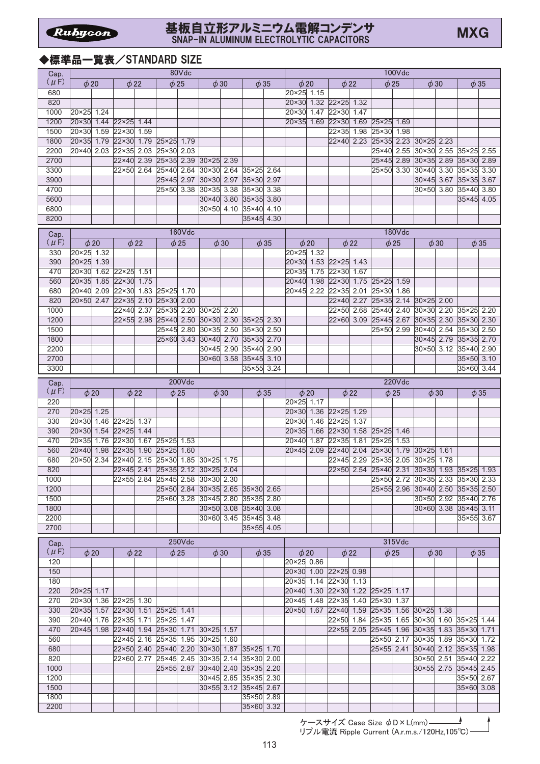#### 基板自立形アルミニウム電解コンデンサ SNAP-IN ALUMINUM ELECTROLYTIC CAPACITORS

# ◆標準品一覧表/STANDARD SIZE

| Cap.      | 80Vdc                 |           |                |           |                                             |               |                                                |           |            |           | 100Vdc                                      |           |                                  |           |                |               |                                                |           |                          |           |
|-----------|-----------------------|-----------|----------------|-----------|---------------------------------------------|---------------|------------------------------------------------|-----------|------------|-----------|---------------------------------------------|-----------|----------------------------------|-----------|----------------|---------------|------------------------------------------------|-----------|--------------------------|-----------|
| $(\mu F)$ | $\phi$ 20             |           | $\phi$ 22      |           | $\phi$ 25                                   |               | $\phi$ 30                                      |           | $\phi$ 35  |           |                                             | $\phi$ 20 | $\phi$ 22                        |           | $\phi$ 25      |               | $\phi$ 30                                      |           | $\phi$ 35                |           |
| 680       |                       |           |                |           |                                             |               |                                                |           |            |           | 20×25 1.15                                  |           |                                  |           |                |               |                                                |           |                          |           |
| 820       |                       |           |                |           |                                             |               |                                                |           |            |           | 20×30                                       |           | $1.32$ 22×25                     | 1.32      |                |               |                                                |           |                          |           |
| 1000      | 20×25                 | 1.24      |                |           |                                             |               |                                                |           |            |           | 20×30                                       | 1.47      | 22×30                            | 1.47      |                |               |                                                |           |                          |           |
| 1200      | $20 \times 30$        | 1.44      | $22\times25$   | 1.44      |                                             |               |                                                |           |            |           | $20 \times 35$                              | 1.69      | 22×30                            | 1.69      | $25\times25$   | 1.69          |                                                |           |                          |           |
| 1500      | 20×30                 | 1.59      | 22×30          | 1.59      |                                             |               |                                                |           |            |           |                                             |           | 22×35                            | 1.98      | 25×30          | 1.98          |                                                |           |                          |           |
| 1800      | $20 \times 35$        | 1.79      | 22×30          | 1.79      | 25×25                                       | 1.79          |                                                |           |            |           |                                             |           | $22\times 40$                    | 2.23      | 25×35          | 2.23          | 30×25                                          | 2.23      |                          |           |
| 2200      | 20×40                 | 2.03      | $22\times35$   | 2.03      | 25×30                                       | 2.03          |                                                |           |            |           |                                             |           |                                  |           | 25×40          | 2.55          | 30×30                                          | 2.55      | 35×25                    | 2.55      |
| 2700      |                       |           | 22×40          | 2.39      | $25 \times 35$                              | 2.39          | $30 \times 25$                                 | 2.39      |            |           |                                             |           |                                  |           | $25\times 45$  | 2.89          | 30×35                                          | 2.89      | 35×30                    | 2.89      |
| 3300      |                       |           | $22\times50$   | 2.64      | 25×40                                       | 2.64          | 30×30                                          | 2.64      | 35×25      | 2.64      |                                             |           |                                  |           | 25×50          | 3.30          | 30×40                                          | 3.30      | 35×35                    | 3.30      |
| 3900      |                       |           |                |           | $25\times 45$                               | 2.97          | 30×30                                          | 2.97      | 35×30      | 2.97      |                                             |           |                                  |           |                |               | $30\times45$                                   | 3.67      | $35\times35$             | 3.67      |
| 4700      |                       |           |                |           | $25 \times 50$                              | 3.38          | $30 \times 35$                                 | 3.38      | 35×30      | 3.38      |                                             |           |                                  |           |                |               | $30 \times 50$                                 | 3.80      | 35×40                    | 3.80      |
| 5600      |                       |           |                |           |                                             |               | $30 \times 40$                                 | 3.80      | 35×35      | 3.80      |                                             |           |                                  |           |                |               |                                                |           | 35×45                    | 4.05      |
| 6800      |                       |           |                |           |                                             |               | 30×50                                          | 4.10      | 35×40      | 4.10      |                                             |           |                                  |           |                |               |                                                |           |                          |           |
| 8200      |                       |           |                |           |                                             |               |                                                |           | 35×45 4.30 |           |                                             |           |                                  |           |                |               |                                                |           |                          |           |
| Cap.      |                       |           |                |           |                                             | <b>160Vdc</b> |                                                |           |            |           |                                             |           |                                  |           |                | <b>180Vdc</b> |                                                |           |                          |           |
| $(\mu F)$ |                       | $\phi$ 20 |                | $\phi$ 22 |                                             | $\phi$ 25     |                                                | $\phi$ 30 |            | $\phi$ 35 |                                             | $\phi$ 20 |                                  | $\phi$ 22 |                | $\phi$ 25     |                                                | $\phi$ 30 |                          | $\phi$ 35 |
| 330       | 20×25 1.32            |           |                |           |                                             |               |                                                |           |            |           | 20×25 1.32                                  |           |                                  |           |                |               |                                                |           |                          |           |
| 390       | 20×25 1.39            |           |                |           |                                             |               |                                                |           |            |           | 20×30                                       | 1.53      | $22 \times 25$                   | 1.43      |                |               |                                                |           |                          |           |
| 470       | $20 \times 30$        | 1.62      | $22\times25$   | 1.51      |                                             |               |                                                |           |            |           | 20×35                                       | 1.75      | 22×30                            | 1.67      |                |               |                                                |           |                          |           |
| 560       | 20×35 1.85            |           | 22×30 1.75     |           |                                             |               |                                                |           |            |           | $20\times 40$                               | 1.98      | 22×30                            | 1.75      | $25\times25$   | 1.59          |                                                |           |                          |           |
| 680       | 20×40                 | 2.09      | 22×30          | 1.83      | 25×25                                       | 1.70          |                                                |           |            |           | 20×45                                       | 2.22      | $22\times35$                     | 2.01      | 25×30          | 1.86          |                                                |           |                          |           |
| 820       | 20×50 2.47            |           | 22×35          | 2.10      | 25×30                                       | 2.00          |                                                |           |            |           |                                             |           | $22\times 40$                    | 2.27      | 25×35          | 2.14          | $30 \times 25$                                 | 2.00      |                          |           |
| 1000      |                       |           | 22×40          | 2.37      | $25\times35$                                | 2.20          | 30×25 2.20                                     |           |            |           |                                             |           | $22\times50$                     | 2.68      | 25×40          | 2.40          | $30 \times 30$                                 | 2.20      | $35\times25$             | 2.20      |
| 1200      |                       |           | $22\times 55$  | 2.98      | 25×40                                       | 2.50          | 30×30                                          | 2.30      | 35×25      | 2.30      |                                             |           | 22×60                            | 3.09      | $25 \times 45$ | 2.67          | 30×35                                          | 2.30      | 35×30                    | 2.30      |
| 1500      |                       |           |                |           | 25×45                                       | 2.80          | 30×35 2.50                                     |           | 35×30      | 2.50      |                                             |           |                                  |           | 25×50          | 2.99          | 30×40                                          | 2.54      | 35×30                    | 2.50      |
| 1800      |                       |           |                |           | 25×60                                       | 3.43          | $30\times40$                                   | 2.70      | 35×35      | 2.70      |                                             |           |                                  |           |                |               | $30\times 45$                                  | 2.79      | $35\times35$             | 2.70      |
| 2200      |                       |           |                |           |                                             |               | $30 \times 45$                                 | 2.90      | 35×40      | 2.90      |                                             |           |                                  |           |                |               | 30×50                                          | 3.12      | 35×40 2.90               |           |
| 2700      |                       |           |                |           |                                             |               | $30\times60$                                   | 3.58      | 35×45      | 3.10      |                                             |           |                                  |           |                |               |                                                |           | 35×50 3.10               |           |
| 3300      |                       |           |                |           |                                             |               |                                                |           |            | 3.24      |                                             |           |                                  |           |                |               |                                                |           | 35×60 3.44               |           |
|           | $35\times55$          |           |                |           |                                             |               |                                                |           |            |           |                                             |           |                                  |           |                |               |                                                |           |                          |           |
| Cap.      | 200Vdc                |           |                |           |                                             |               |                                                |           |            |           |                                             |           |                                  |           | 220Vdc         |               |                                                |           |                          |           |
| $(\mu$ F) |                       | $\phi$ 20 | $\phi$ 22      |           | $\phi$ 25                                   |               | $\phi$ 30                                      |           |            | $\phi$ 35 |                                             | $\phi$ 20 |                                  | $\phi$ 22 |                | $\phi$ 25     |                                                | $\phi$ 30 |                          | $\phi$ 35 |
| 220       |                       |           |                |           |                                             |               |                                                |           |            |           | 20×25 1.17                                  |           |                                  |           |                |               |                                                |           |                          |           |
| 270       | 20×25 1.25            |           |                |           |                                             |               |                                                |           |            |           | 20×30                                       | 1.36      | 22×25 1.29                       |           |                |               |                                                |           |                          |           |
| 330       | 20×30 1.46            |           | $22 \times 25$ | 1.37      |                                             |               |                                                |           |            |           | $20 \times 30$                              | 1.46      | $22\times25$                     | 1.37      |                |               |                                                |           |                          |           |
| 390       | $20 \times 30$        | 1.54      | $22 \times 25$ | 1.44      |                                             |               |                                                |           |            |           | $20 \times 35$                              | 1.66      | 22×30                            | 1.58      | $25\times25$   | 1.46          |                                                |           |                          |           |
| 470       | 20×35                 | 1.76      | $22\times30$   | 1.67      | $25\times25$                                | 1.53          |                                                |           |            |           | $20\times 40$                               | 1.87      | 22×35                            | 1.81      | $25\times25$   | 1.53          |                                                |           |                          |           |
| 560       | 20×40                 | 1.98      | 22×35          | 1.90      | 25×25                                       | 1.60          |                                                |           |            |           | 20×45                                       | 2.09      | 22×40                            | 2.04      | 25×30          | 1.79          | $30 \times 25$                                 | 1.61      |                          |           |
| 680       | 20×50                 | 2.34      | 22×40          | 2.15      | 25×30                                       | 1.85          | 30×25                                          | 1.75      |            |           |                                             |           | 22×45                            | 2.29      | $25\times35$   | 2.05          | 30×25                                          | 1.78      |                          |           |
| 820       |                       |           | 22×45          | 2.41      | $25 \times 35$                              | 2.12          | 30×25                                          | 2.04      |            |           |                                             |           | 22×50                            | 2.54      | $25\times40$   | 2.31          | $30\times30$                                   | 1.93      | $35\times25$             | 1.93      |
| 1000      |                       |           |                |           | 22×55 2.84 25×45 2.58 30×30 2.30            |               |                                                |           |            |           |                                             |           |                                  |           |                |               | 25×50 2.72 30×35 2.33 35×30 2.33               |           |                          |           |
| 1200      |                       |           |                |           |                                             |               | 25×50 2.84 30×35 2.65 35×30 2.65               |           |            |           |                                             |           |                                  |           |                |               | 25×55 2.96 30×40 2.50 35×35 2.50               |           |                          |           |
| 1500      |                       |           |                |           |                                             |               | 25×60 3.28 30×45 2.80 35×35 2.80               |           |            |           |                                             |           |                                  |           |                |               |                                                |           | 30×50 2.92 35×40 2.76    |           |
| 1800      |                       |           |                |           |                                             |               | 30×50 3.08 35×40 3.08                          |           |            |           |                                             |           |                                  |           |                |               |                                                |           | 30×60 3.38 35×45 3.11    |           |
| 2200      |                       |           |                |           |                                             |               | 30×60 3.45 35×45 3.48                          |           |            |           |                                             |           |                                  |           |                |               |                                                |           | 35×55 3.67               |           |
| 2700      |                       |           |                |           |                                             |               |                                                |           | 35×55 4.05 |           |                                             |           |                                  |           |                |               |                                                |           |                          |           |
| Cap.      |                       |           |                |           |                                             | $250V$ dc     |                                                |           |            |           | 315Vdc                                      |           |                                  |           |                |               |                                                |           |                          |           |
| $(\mu F)$ |                       | $\phi$ 20 | $\phi$ 22      |           |                                             | $\phi$ 25     | $\phi$ 30                                      |           | $\phi$ 35  |           |                                             | $\phi$ 20 | $\phi$ 22                        |           | $\phi$ 25      |               | $\phi$ 30                                      |           | $\phi$ 35                |           |
| 120       |                       |           |                |           |                                             |               |                                                |           |            |           | 20×25 0.86                                  |           |                                  |           |                |               |                                                |           |                          |           |
| 150       |                       |           |                |           |                                             |               |                                                |           |            |           |                                             |           | 20×30 1.00 22×25 0.98            |           |                |               |                                                |           |                          |           |
| 180       |                       |           |                |           |                                             |               |                                                |           |            |           |                                             |           | 20×35 1.14 22×30 1.13            |           |                |               |                                                |           |                          |           |
| 220       | 20×25 1.17            |           |                |           |                                             |               |                                                |           |            |           |                                             |           | 20×40 1.30 22×30 1.22 25×25 1.17 |           |                |               |                                                |           |                          |           |
| 270       |                       |           |                |           |                                             |               |                                                |           |            |           |                                             |           | 20×45 1.48 22×35 1.40 25×30 1.37 |           |                |               |                                                |           |                          |           |
| 330       | 20×30 1.36 22×25 1.30 |           |                |           |                                             |               |                                                |           |            |           |                                             |           |                                  |           |                |               |                                                |           |                          |           |
|           |                       |           |                |           | 20×35 1.57 22×30 1.51 25×25 1.41            |               |                                                |           |            |           | 20×50 1.67 22×40 1.59 25×35 1.56 30×25 1.38 |           |                                  |           |                |               |                                                |           |                          |           |
| 390       |                       |           |                |           | 20×40 1.76 22×35 1.71 25×25 1.47            |               |                                                |           |            |           |                                             |           |                                  |           |                |               | 22×50 1.84 25×35 1.65 30×30 1.60 35×25 1.44    |           |                          |           |
| 470       |                       |           |                |           | 20×45 1.98 22×40 1.94 25×30 1.71 30×25 1.57 |               |                                                |           |            |           |                                             |           |                                  |           |                |               | 22×55 2.05 25×45 1.96 30×35 1.83 35×30 1.71    |           |                          |           |
| 560       |                       |           |                |           | 22×45 2.16 25×35 1.95 30×25 1.60            |               |                                                |           |            |           |                                             |           |                                  |           |                |               | 25×50 2.17 30×35 1.89 35×30 1.72               |           |                          |           |
| 680       |                       |           |                |           |                                             |               |                                                |           |            |           |                                             |           |                                  |           |                |               |                                                |           |                          |           |
| 820       |                       |           |                |           | 22×50 2.40 25×40 2.20 30×30 1.87 35×25 1.70 |               |                                                |           |            |           |                                             |           |                                  |           |                |               | 25×55 2.41 30×40 2.12 35×35 1.98               |           |                          |           |
| 1000      |                       |           |                |           | 22×60 2.77 25×45 2.45 30×35 2.14 35×30 2.00 |               | 25×55 2.87 30×40 2.40 35×35 2.20               |           |            |           |                                             |           |                                  |           |                |               | 30×50 2.51 35×40 2.22<br>30×55 2.75 35×45 2.45 |           |                          |           |
| 1200      |                       |           |                |           |                                             |               |                                                |           |            |           |                                             |           |                                  |           |                |               |                                                |           |                          |           |
| 1500      |                       |           |                |           |                                             |               | 30×45 2.65 35×35 2.30<br>30×55 3.12 35×45 2.67 |           |            |           |                                             |           |                                  |           |                |               |                                                |           | 35×50 2.67<br>35×60 3.08 |           |
| 1800      |                       |           |                |           |                                             |               |                                                |           | 35×50 2.89 |           |                                             |           |                                  |           |                |               |                                                |           |                          |           |
| 2200      |                       |           |                |           |                                             |               |                                                |           | 35×60 3.32 |           |                                             |           |                                  |           |                |               |                                                |           |                          |           |

ケースサイズ Case Size φD×L(mm) リプル電流 Ripple Current (A.r.m.s./120Hz,105℃)